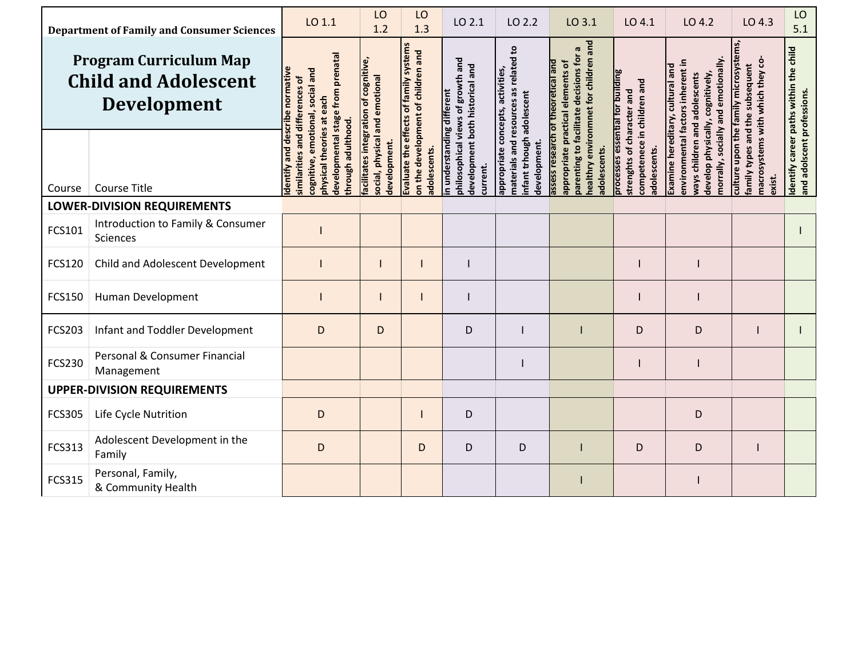| <b>Department of Family and Consumer Sciences</b>                                  |                                                      | LO 1.1                                                                                                          | LO<br>1.2                                      | LO<br>1.3                                                                    | LO 2.1                                                               | LO 2.2                                                                         | LO 3.1                                                                                                                                                      | LO 4.1                                                                                                        | LO 4.2                                                                                                | LO 4.3                                                                                                      | LO<br>5.1                              |
|------------------------------------------------------------------------------------|------------------------------------------------------|-----------------------------------------------------------------------------------------------------------------|------------------------------------------------|------------------------------------------------------------------------------|----------------------------------------------------------------------|--------------------------------------------------------------------------------|-------------------------------------------------------------------------------------------------------------------------------------------------------------|---------------------------------------------------------------------------------------------------------------|-------------------------------------------------------------------------------------------------------|-------------------------------------------------------------------------------------------------------------|----------------------------------------|
| <b>Program Curriculum Map</b><br><b>Child and Adolescent</b><br><b>Development</b> |                                                      | developmental stage from prenatal<br>emotional, social and<br>and differences of                                | facilitates integration of cognitive,          | Evaluate the effects of family systems<br>on the development of children and | philosophical views of growth and<br>development both historical and | materials and resources as related to                                          | nealthry environmnet for children and<br>parenting to facilitate decisions for a<br>assess research of theoretical and<br>appropriate practical elements of |                                                                                                               | morrally, socially and emotionally<br>environmental factors inherent in                               | culture upon the family microsystems<br>macrosystems with which they co-<br>family types and the subsequent | Identify career paths within the child |
| Course                                                                             | <b>Course Title</b>                                  | dentify and describe normative<br>physical theories at each<br>through adulthood.<br>similarities<br>cognitive, | social, physical and emotional<br>development. | adolescents.                                                                 | in understanding different<br>current.                               | appropriate concepts, activities,<br>infant trhough adolescent<br>development. | adolescents.                                                                                                                                                | processes essential for building<br>competenece in children and<br>strenghts of character and<br>adolescents. | Examine hereditary, cultural and<br>develop physically, cognitively,<br>ways children and adolescents | exist.                                                                                                      | and adolscent professions.             |
| <b>LOWER-DIVISION REQUIREMENTS</b>                                                 |                                                      |                                                                                                                 |                                                |                                                                              |                                                                      |                                                                                |                                                                                                                                                             |                                                                                                               |                                                                                                       |                                                                                                             |                                        |
| FCS101                                                                             | Introduction to Family & Consumer<br><b>Sciences</b> |                                                                                                                 |                                                |                                                                              |                                                                      |                                                                                |                                                                                                                                                             |                                                                                                               |                                                                                                       |                                                                                                             |                                        |
| FCS120                                                                             | Child and Adolescent Development                     |                                                                                                                 |                                                |                                                                              |                                                                      |                                                                                |                                                                                                                                                             |                                                                                                               |                                                                                                       |                                                                                                             |                                        |
| <b>FCS150</b>                                                                      | Human Development                                    |                                                                                                                 |                                                |                                                                              |                                                                      |                                                                                |                                                                                                                                                             |                                                                                                               |                                                                                                       |                                                                                                             |                                        |
| <b>FCS203</b>                                                                      | Infant and Toddler Development                       | D                                                                                                               | D                                              |                                                                              | D                                                                    |                                                                                |                                                                                                                                                             | D                                                                                                             | D                                                                                                     |                                                                                                             |                                        |
| <b>FCS230</b>                                                                      | Personal & Consumer Financial<br>Management          |                                                                                                                 |                                                |                                                                              |                                                                      |                                                                                |                                                                                                                                                             |                                                                                                               |                                                                                                       |                                                                                                             |                                        |
| <b>UPPER-DIVISION REQUIREMENTS</b>                                                 |                                                      |                                                                                                                 |                                                |                                                                              |                                                                      |                                                                                |                                                                                                                                                             |                                                                                                               |                                                                                                       |                                                                                                             |                                        |
| <b>FCS305</b>                                                                      | Life Cycle Nutrition                                 | D                                                                                                               |                                                |                                                                              | D                                                                    |                                                                                |                                                                                                                                                             |                                                                                                               | D                                                                                                     |                                                                                                             |                                        |
| FCS313                                                                             | Adolescent Development in the<br>Family              | D                                                                                                               |                                                | D                                                                            | D                                                                    | D                                                                              |                                                                                                                                                             | D                                                                                                             | D                                                                                                     |                                                                                                             |                                        |
| <b>FCS315</b>                                                                      | Personal, Family,<br>& Community Health              |                                                                                                                 |                                                |                                                                              |                                                                      |                                                                                |                                                                                                                                                             |                                                                                                               |                                                                                                       |                                                                                                             |                                        |